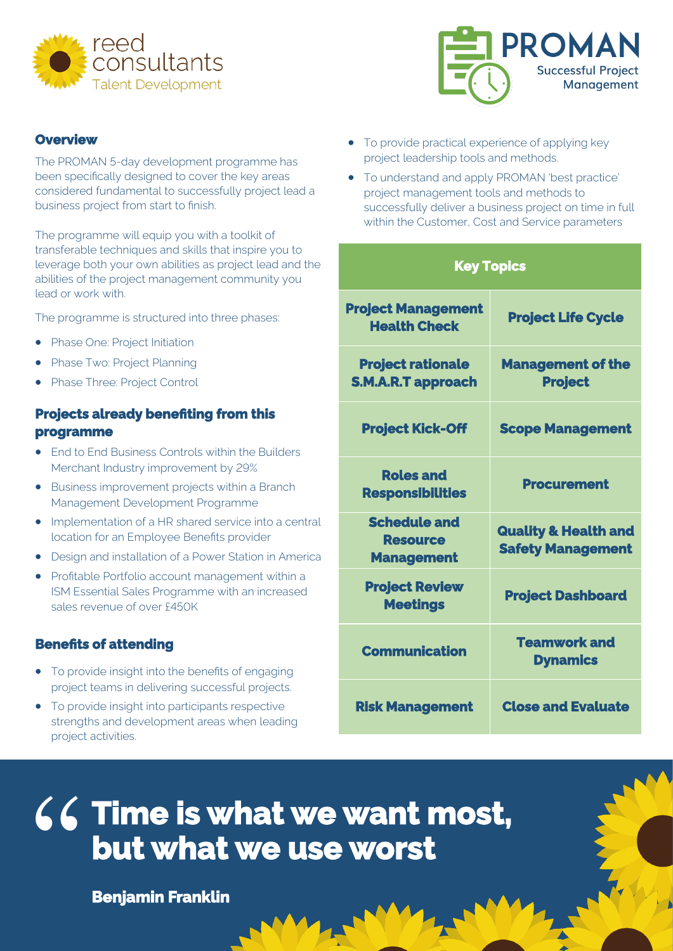

#### **Overview**

The PROMAN 5-day development programme has been specifically designed to cover the key areas considered fundamental to successfully project lead a business project from start to finish.

The programme will equip you with a toolkit of transferable techniques and skills that inspire you to leverage both your own abilities as project lead and the abilities of the project management community you lead or work with.

The programme is structured into three phases:

- Phase One: Project Initiation
- Phase Two: Project Planning
- Phase Three: Project Control

## **Projects already benefiting from this programme**

- End to End Business Controls within the Builders Merchant Industry improvement by 29%
- Business improvement projects within a Branch Management Development Programme
- Implementation of a HR shared service into a central location for an Employee Benefits provider
- Design and installation of a Power Station in America
- Profitable Portfolio account management within a ISM Essential Sales Programme with an increased sales revenue of over £450K

#### **Benefits of attending**

- To provide insight into the benefits of engaging project teams in delivering successful projects.
- To provide insight into participants respective strengths and development areas when leading project activities.



- To provide practical experience of applying key project leadership tools and methods.
- To understand and apply PROMAN 'best practice' project management tools and methods to successfully deliver a business project on time in full within the Customer, Cost and Service parameters

## **Key Topics**

| <b>Project Management</b><br><b>Health Check</b>            | <b>Project Life Cycle</b>                                   |
|-------------------------------------------------------------|-------------------------------------------------------------|
| <b>Project rationale</b><br><b>S.M.A.R.T approach</b>       | <b>Management of the</b><br><b>Project</b>                  |
| <b>Project Kick-Off</b>                                     | <b>Scope Management</b>                                     |
| <b>Roles and</b><br><b>Responsibilities</b>                 | <b>Procurement</b>                                          |
| <b>Schedule and</b><br><b>Resource</b><br><b>Management</b> | <b>Quality &amp; Health and</b><br><b>Safety Management</b> |
| <b>Project Review</b><br><b>Meetings</b>                    | <b>Project Dashboard</b>                                    |
| <b>Communication</b>                                        | <b>Teamwork and</b><br><b>Dynamics</b>                      |
| <b>Risk Management</b>                                      | <b>Close and Evaluate</b>                                   |

## **Time is what we want most, but what we use worst** "

**Benjamin Franklin**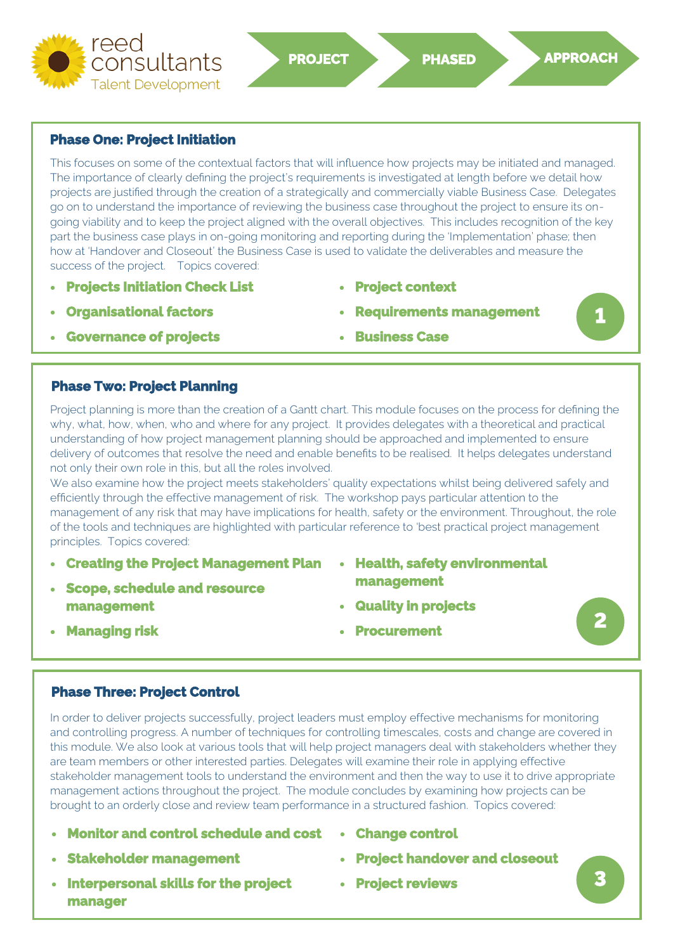

#### **Phase One: Project Initiation**

This focuses on some of the contextual factors that will influence how projects may be initiated and managed. The importance of clearly defining the project's requirements is investigated at length before we detail how projects are justified through the creation of a strategically and commercially viable Business Case. Delegates go on to understand the importance of reviewing the business case throughout the project to ensure its ongoing viability and to keep the project aligned with the overall objectives. This includes recognition of the key part the business case plays in on-going monitoring and reporting during the 'Implementation' phase; then how at 'Handover and Closeout' the Business Case is used to validate the deliverables and measure the success of the project. Topics covered:

- **Projects Initiation Check List**
- **Organisational factors**

• **Project context** 

• **Business Case** 

• **Requirements management** 

- **Governance of projects**
- **Phase Two: Project Planning**

Project planning is more than the creation of a Gantt chart. This module focuses on the process for defining the why, what, how, when, who and where for any project. It provides delegates with a theoretical and practical understanding of how project management planning should be approached and implemented to ensure delivery of outcomes that resolve the need and enable benefits to be realised. It helps delegates understand not only their own role in this, but all the roles involved.

We also examine how the project meets stakeholders' quality expectations whilst being delivered safely and efficiently through the effective management of risk. The workshop pays particular attention to the management of any risk that may have implications for health, safety or the environment. Throughout, the role of the tools and techniques are highlighted with particular reference to 'best practical project management principles. Topics covered:

- **Creating the Project Management Plan**
- **Scope, schedule and resource management**
- **Health, safety environmental management**
- **Quality in projects**

• **Managing risk** 

• **Procurement** 

# **2**

**1** 

## **Phase Three: Project Control**

Market mana<br>broug<br>
• M<br>
• St<br>
• In In order to deliver projects successfully, project leaders must employ effective mechanisms for monitoring and controlling progress. A number of techniques for controlling timescales, costs and change are covered in this module. We also look at various tools that will help project managers deal with stakeholders whether they are team members or other interested parties. Delegates will examine their role in applying effective stakeholder management tools to understand the environment and then the way to use it to drive appropriate management actions throughout the project. The module concludes by examining how projects can be brought to an orderly close and review team performance in a structured fashion. Topics covered:

- **Monitor and control schedule and cost**
- **Stakeholder management**
- **Interpersonal skills for the project manager**
- **Change control**
- **Project handover and closeout**
- **Project reviews**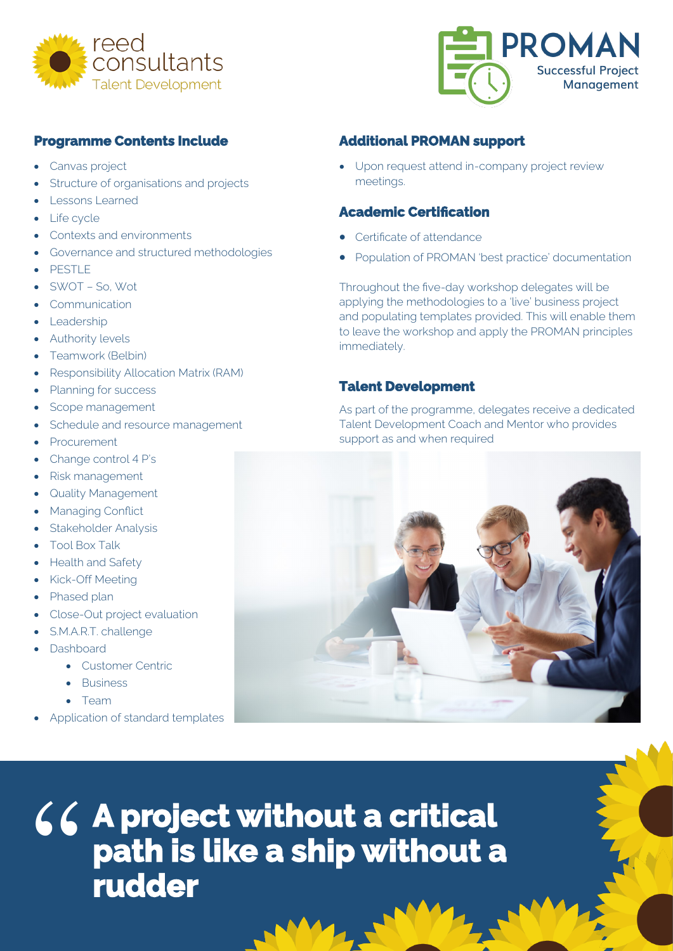



## **Programme Contents Include**

- Canvas project
- Structure of organisations and projects
- Lessons Learned
- Life cycle
- Contexts and environments
- Governance and structured methodologies
- PESTLE
- SWOT So, Wot
- **Communication**
- Leadership
- **Authority levels**
- Teamwork (Belbin)
- Responsibility Allocation Matrix (RAM)
- Planning for success
- Scope management
- Schedule and resource management
- **Procurement**
- Change control 4 P's
- Risk management
- **Quality Management**
- **Managing Conflict**
- Stakeholder Analysis
- Tool Box Talk
- Health and Safety
- Kick-Off Meeting
- Phased plan
- Close-Out project evaluation
- S.M.A.R.T. challenge
- Dashboard
	- Customer Centric
	- Business
	- Team
- Application of standard templates

## **Additional PROMAN support**

• Upon request attend in-company project review meetings.

## **Academic Certification**

- Certificate of attendance
- Population of PROMAN 'best practice' documentation

Throughout the five-day workshop delegates will be applying the methodologies to a 'live' business project and populating templates provided. This will enable them to leave the workshop and apply the PROMAN principles immediately.

#### **Talent Development**

As part of the programme, delegates receive a dedicated Talent Development Coach and Mentor who provides support as and when required



" **A project without a critical path is like a ship without a rudder**